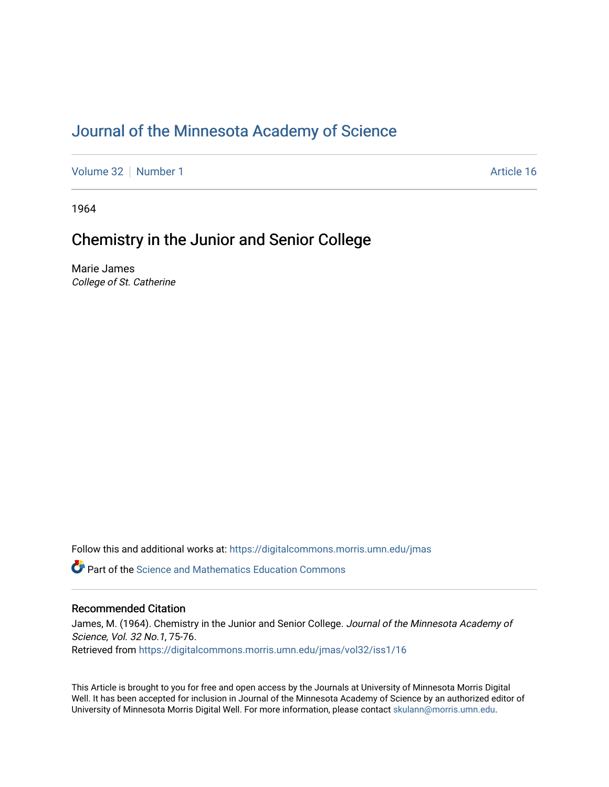### [Journal of the Minnesota Academy of Science](https://digitalcommons.morris.umn.edu/jmas)

[Volume 32](https://digitalcommons.morris.umn.edu/jmas/vol32) [Number 1](https://digitalcommons.morris.umn.edu/jmas/vol32/iss1) Article 16

1964

#### Chemistry in the Junior and Senior College

Marie James College of St. Catherine

Follow this and additional works at: [https://digitalcommons.morris.umn.edu/jmas](https://digitalcommons.morris.umn.edu/jmas?utm_source=digitalcommons.morris.umn.edu%2Fjmas%2Fvol32%2Fiss1%2F16&utm_medium=PDF&utm_campaign=PDFCoverPages) 

*O* Part of the Science and Mathematics Education Commons

#### Recommended Citation

James, M. (1964). Chemistry in the Junior and Senior College. Journal of the Minnesota Academy of Science, Vol. 32 No.1, 75-76. Retrieved from [https://digitalcommons.morris.umn.edu/jmas/vol32/iss1/16](https://digitalcommons.morris.umn.edu/jmas/vol32/iss1/16?utm_source=digitalcommons.morris.umn.edu%2Fjmas%2Fvol32%2Fiss1%2F16&utm_medium=PDF&utm_campaign=PDFCoverPages) 

This Article is brought to you for free and open access by the Journals at University of Minnesota Morris Digital Well. It has been accepted for inclusion in Journal of the Minnesota Academy of Science by an authorized editor of University of Minnesota Morris Digital Well. For more information, please contact [skulann@morris.umn.edu](mailto:skulann@morris.umn.edu).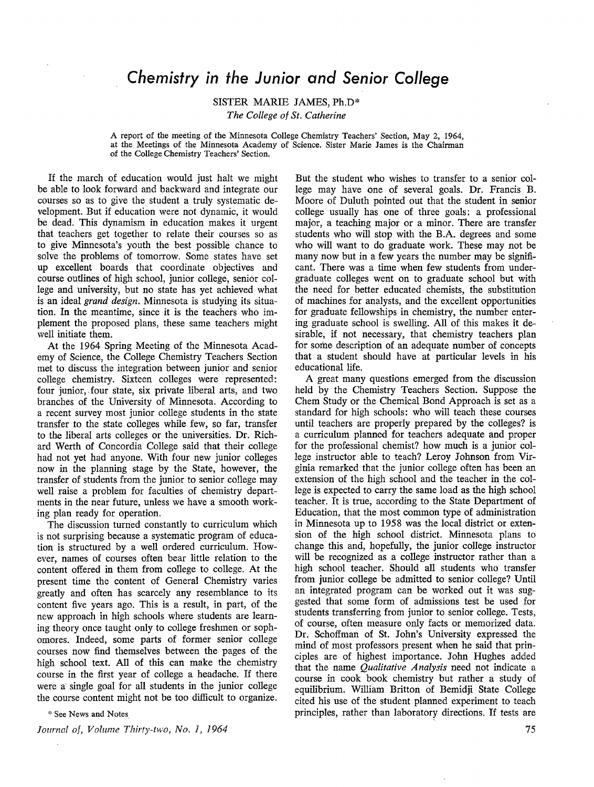#### *Chemistry in the Junior and Senior College*

SISTER MARIE JAMES, Ph.D\*

*The College of St. Catherine* 

A report of the meeting of the Minnesota College Chemistry Teachers' Section, May 2, 1964, at the Meetings of the Minnesota Academy of Science. Sister Marie James is the Chairman of the College Chemistry Teachers' Section.

If the march of education would just halt we might be able to look forward and backward and integrate our courses so as to give the student a truly systematic development. But if education were not dynamic, it would be dead. This dynamism in education makes it urgent that teachers get together to relate their courses so as to give Minnesota's youth the best possible chance to solve the problems of tomorrow. Some states have set up excellent boards that coordinate objectives and course outlines of high school, junior college, senior college and university, but no state has yet achieved what is an ideal *grand design.* Minnesota is studying its situation. In the meantime, since it is the teachers who implement the proposed plans, these same teachers might well initiate them.

At the 1964 Spring Meeting of the Minnesota Academy of Science, the College Chemistry Teachers Section met to discuss the integration between junior and senior college chemistry. Sixteen colleges were represented: four junior, four state, six private liberal arts, and two branches of the University of Minnesota. According to a recent survey most junior college students in the state transfer to the state colleges while few, so far, transfer to the liberal arts colleges or the universities. Dr. Richard Werth of Concordia College said that their college had not yet had anyone. With four new junior colleges now in the planning stage by the State, however, the transfer of students from the junior to senior college may well raise a problem for faculties of chemistry departments in the near future, unless we have a smooth working plan ready for operation.

The discussion turned constantly to curriculum which is not surprising because a systematic program of education is structured by a well ordered curriculum. However, names of courses often bear little relation to the content offered in them from college to college. At the present time the content of General Chemistry varies greatly and often has scarcely any resemblance to its content five years ago. This is a result, in part, of the new approach in high schools where students are learning theory once taught only to college freshmen or sophomores. Indeed, some parts of former senior college courses now find themselves between the pages of the high school text. All of this can make the chemistry course in the first year of college a headache. If there were a single goal for all students in the junior college the course content might not be too difficult to organize.

 $*$  See News and Notes

*Journal of, Volume Thirty-two, No. 1, 1964* 

But the student who wishes to transfer to a senior college may have one of several goals. Dr. Francis B. Moore of Duluth pointed out that the student in senior college usually has one of three goals: a professional major, a teaching major or a minor. There are transfer students who will stop with the B.A. degrees and some who will want to do graduate work. These may not be many now but in a few years the number may be significant. There was a time when few students from undergraduate colleges went on to graduate school but with the need for better educated chemists, the substitution of machines for analysts, and the excellent opportunities for graduate fellowships in chemistry, the number entering graduate school is swelling. All of this makes it desirable, if not necessary, that chemistry teachers plan for some description of an adequate number of concepts that a student should have at particular levels in his educational life.

A great many questions emerged from the discussion held by the Chemistry Teachers Section. Suppose the Chem Study or the Chemical Bond Approach is set as a standard for high schools: who will teach these courses until teachers are properly prepared by the colleges? is a curriculum planned for teachers adequate and proper for the professional chemist? how much is a junior college instructor able to teach? Leroy Johnson from Virginia remarked that the junior college often has been an extension of the high school and the teacher in the college is expected to carry the same load as the high school teacher. It is true, according to the State Department of Education, that the most common type of administration in Minnesota up to 1958 was the local district or extension of the high school district. Minnesota plans to change this and, hopefully, the junior college instructor will be recognized as a college instructor rather than a high school teacher. Should all students who transfer from junior college be admitted to senior college? Until an integrated program can be worked out it was suggested that some form of admissions test be used for students transferring from junior to senior college. Tests, of course, often measure only facts or memorized data. Dr. Schoffman of St. John's University expressed the mind of most professors present when he said that principles are of highest importance. John Hughes added that the name *Qualitative Analysis* need not indicate a course in cook book chemistry but rather a study of equilibrium. William Britton of Bemidji State College cited his use of the student planned experiment to teach principles, rather than laboratory directions. If tests are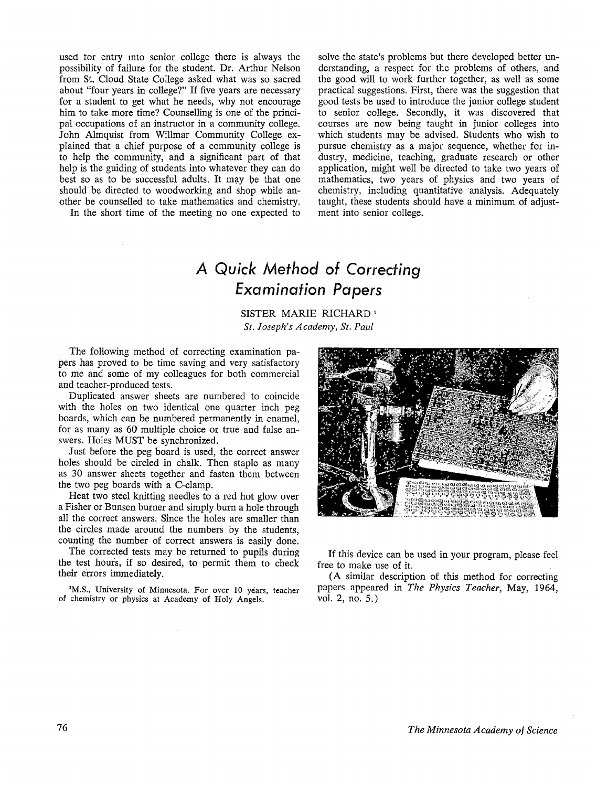used tor entry mto senior college there is always the possibility of failure for the student. Dr. Arthur Nelson from St. Cloud State College asked what was so sacred about "four years in college?" If five years are necessary for a student to get what he needs, why not encourage him to take more time? Counselling is one of the principal occupations of an instructor in a community college. John Almquist from Willmar Community College explained that a chief purpose of a community college is to help the community, and a significant part of that help is the guiding of students into whatever they can do best so as to be successful adults. It may be that one should be directed to woodworking and shop while another be counselled to take mathematics and chemistry.

In the short time of the meeting no one expected to

solve the state's problems but there developed better understanding, a respect for the problems of others, and the good will to work further together, as well as some practical suggestions. First, there was the suggestion that good tests be used to introduce the junior college student to senior college. Secondly, it was discovered that courses are now being taught in junior colleges into which students may be advised. Students who wish to pursue chemistry as a major sequence, whether for industry, medicine, teaching, graduate research or other application, might well be directed to take two years of mathematics, two years of physics and two years of chemistry, including quantitative analysis. Adequately taught, these students should have a minimum of adjustment into senior college.

# *A Quick Method of Correcting Examination Papers*

SISTER MARIE RICHARD 1 *St. Joseph's Academy, St. Paul* 

The following method of correcting examination papers has proved to be time saving and very satisfactory to me and some of my colleagues for both commercial and teacher-produced tests.

Duplicated answer sheets are numbered to coincide with the holes on two identical one quarter inch peg boards, which can be numbered permanently in enamel, for as many as 60 multiple choice or true and false answers. Holes MUST be synchronized.

Just before the peg board is used, the correct answer holes should be circled in chalk. Then staple as many as 30 answer sheets together and fasten them between the two peg boards with a C-clamp.

Heat two steel knitting needles to a red hot glow over a Fisher or Bunsen burner and simply burn a hole through all the correct answers. Since the holes are smaller than the circles made around the numbers by the students, counting the number of correct answers is easily done.

The corrected tests may be returned to pupils during the test hours, if so desired, to permit them to check their errors immediately.

**1 M.S.,** University of Minnesota. For over 10 years, teacher of chemistry or physics at Academy of Holy Angels.



If this device can be used in your program, please feel free to make use of it.

(A similar description of this method for correcting papers appeared in *The Physics Teacher,* May, 1964, vol. 2, no. 5.)